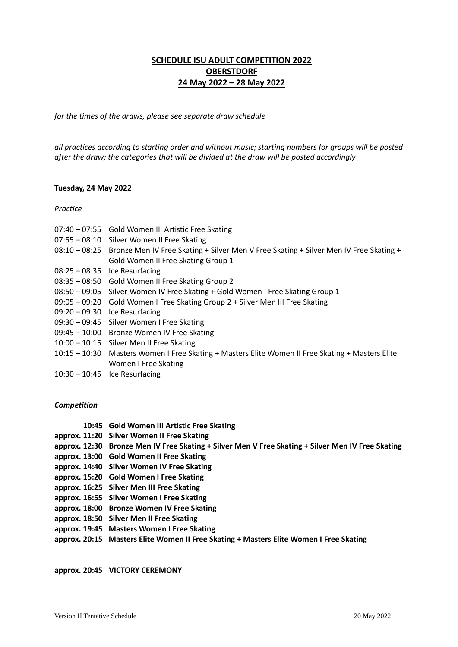# **SCHEDULE ISU ADULT COMPETITION 2022 OBERSTDORF 24 May 2022 – 28 May 2022**

## *for the times of the draws, please see separate draw schedule*

*all practices according to starting order and without music; starting numbers for groups will be posted after the draw; the categories that will be divided at the draw will be posted accordingly*

#### **Tuesday, 24 May 2022**

*Practice*

- 07:40 07:55 Gold Women III Artistic Free Skating
- 07:55 08:10 Silver Women II Free Skating
- 08:10 08:25 Bronze Men IV Free Skating + Silver Men V Free Skating + Silver Men IV Free Skating + Gold Women II Free Skating Group 1
- 08:25 08:35 Ice Resurfacing
- 08:35 08:50 Gold Women II Free Skating Group 2
- 08:50 09:05 Silver Women IV Free Skating + Gold Women I Free Skating Group 1
- 09:05 09:20 Gold Women I Free Skating Group 2 + Silver Men III Free Skating
- 09:20 09:30 Ice Resurfacing
- 09:30 09:45 Silver Women I Free Skating
- 09:45 10:00 Bronze Women IV Free Skating
- 10:00 10:15 Silver Men II Free Skating
- 10:15 10:30 Masters Women I Free Skating + Masters Elite Women II Free Skating + Masters Elite Women I Free Skating
- 10:30 10:45 Ice Resurfacing

#### *Competition*

- **10:45 Gold Women III Artistic Free Skating**
- **approx. 11:20 Silver Women II Free Skating**
- **approx. 12:30 Bronze Men IV Free Skating + Silver Men V Free Skating + Silver Men IV Free Skating**
- **approx. 13:00 Gold Women II Free Skating**
- **approx. 14:40 Silver Women IV Free Skating**
- **approx. 15:20 Gold Women I Free Skating**
- **approx. 16:25 Silver Men III Free Skating**
- **approx. 16:55 Silver Women I Free Skating**
- **approx. 18:00 Bronze Women IV Free Skating**
- **approx. 18:50 Silver Men II Free Skating**
- **approx. 19:45 Masters Women I Free Skating**
- **approx. 20:15 Masters Elite Women II Free Skating + Masters Elite Women I Free Skating**

**approx. 20:45 VICTORY CEREMONY**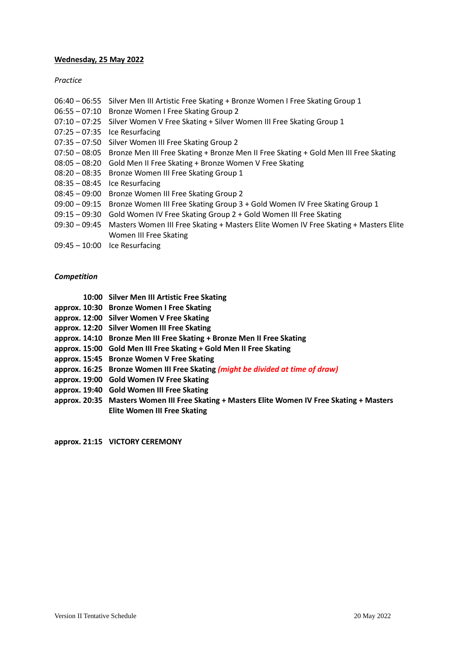## **Wednesday, 25 May 2022**

## *Practice*

- 06:40 06:55 Silver Men III Artistic Free Skating + Bronze Women I Free Skating Group 1
- 06:55 07:10 Bronze Women I Free Skating Group 2
- 07:10 07:25 Silver Women V Free Skating + Silver Women III Free Skating Group 1
- 07:25 07:35 Ice Resurfacing
- 07:35 07:50 Silver Women III Free Skating Group 2
- 07:50 08:05 Bronze Men III Free Skating + Bronze Men II Free Skating + Gold Men III Free Skating
- 08:05 08:20 Gold Men II Free Skating + Bronze Women V Free Skating
- 08:20 08:35 Bronze Women III Free Skating Group 1
- 08:35 08:45 Ice Resurfacing
- 08:45 09:00 Bronze Women III Free Skating Group 2
- 09:00 09:15 Bronze Women III Free Skating Group 3 + Gold Women IV Free Skating Group 1
- 09:15 09:30 Gold Women IV Free Skating Group 2 + Gold Women III Free Skating
- 09:30 09:45 Masters Women III Free Skating + Masters Elite Women IV Free Skating + Masters Elite Women III Free Skating
- 09:45 10:00 Ice Resurfacing

## *Competition*

- **10:00 Silver Men III Artistic Free Skating**
- **approx. 10:30 Bronze Women I Free Skating**
- **approx. 12:00 Silver Women V Free Skating**
- **approx. 12:20 Silver Women III Free Skating**
- **approx. 14:10 Bronze Men III Free Skating + Bronze Men II Free Skating**
- **approx. 15:00 Gold Men III Free Skating + Gold Men II Free Skating**
- **approx. 15:45 Bronze Women V Free Skating**
- **approx. 16:25 Bronze Women III Free Skating** *(might be divided at time of draw)*
- **approx. 19:00 Gold Women IV Free Skating**
- **approx. 19:40 Gold Women III Free Skating**
- **approx. 20:35 Masters Women III Free Skating + Masters Elite Women IV Free Skating + Masters Elite Women III Free Skating**

**approx. 21:15 VICTORY CEREMONY**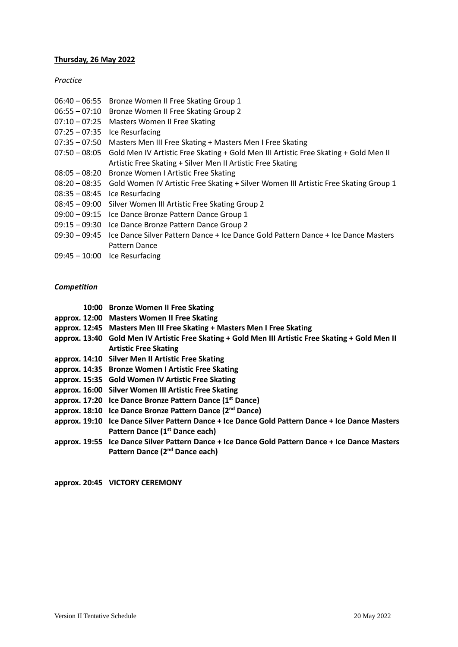## **Thursday, 26 May 2022**

## *Practice*

- 06:40 06:55 Bronze Women II Free Skating Group 1
- 06:55 07:10 Bronze Women II Free Skating Group 2
- 07:10 07:25 Masters Women II Free Skating
- 07:25 07:35 Ice Resurfacing
- 07:35 07:50 Masters Men III Free Skating + Masters Men I Free Skating
- 07:50 08:05 Gold Men IV Artistic Free Skating + Gold Men III Artistic Free Skating + Gold Men II Artistic Free Skating + Silver Men II Artistic Free Skating
- 08:05 08:20 Bronze Women I Artistic Free Skating
- 08:20 08:35 Gold Women IV Artistic Free Skating + Silver Women III Artistic Free Skating Group 1
- 08:35 08:45 Ice Resurfacing
- 08:45 09:00 Silver Women III Artistic Free Skating Group 2
- 09:00 09:15 Ice Dance Bronze Pattern Dance Group 1
- 09:15 09:30 Ice Dance Bronze Pattern Dance Group 2
- 09:30 09:45 Ice Dance Silver Pattern Dance + Ice Dance Gold Pattern Dance + Ice Dance Masters Pattern Dance
- 09:45 10:00 Ice Resurfacing

## *Competition*

- **10:00 Bronze Women II Free Skating**
- **approx. 12:00 Masters Women II Free Skating**
- **approx. 12:45 Masters Men III Free Skating + Masters Men I Free Skating**
- **approx. 13:40 Gold Men IV Artistic Free Skating + Gold Men III Artistic Free Skating + Gold Men II Artistic Free Skating**
- **approx. 14:10 Silver Men II Artistic Free Skating**
- **approx. 14:35 Bronze Women I Artistic Free Skating**
- **approx. 15:35 Gold Women IV Artistic Free Skating**
- **approx. 16:00 Silver Women III Artistic Free Skating**
- **approx. 17:20 Ice Dance Bronze Pattern Dance (1st Dance)**
- **approx. 18:10 Ice Dance Bronze Pattern Dance (2nd Dance)**
- **approx. 19:10 Ice Dance Silver Pattern Dance + Ice Dance Gold Pattern Dance + Ice Dance Masters Pattern Dance (1st Dance each)**
- **approx. 19:55 Ice Dance Silver Pattern Dance + Ice Dance Gold Pattern Dance + Ice Dance Masters Pattern Dance (2nd Dance each)**

#### **approx. 20:45 VICTORY CEREMONY**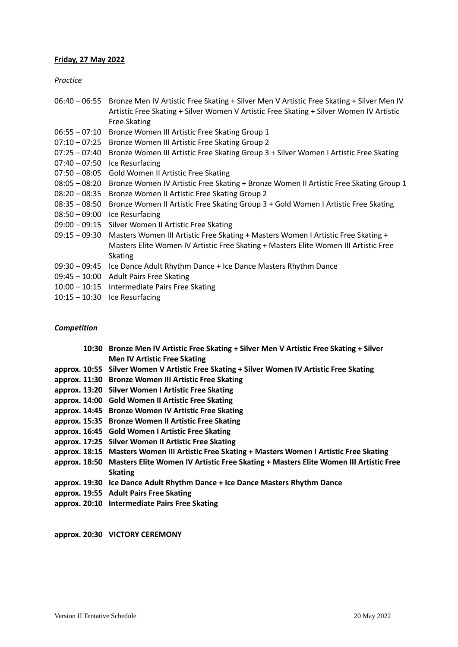## **Friday, 27 May 2022**

#### *Practice*

- 06:40 06:55 Bronze Men IV Artistic Free Skating + Silver Men V Artistic Free Skating + Silver Men IV Artistic Free Skating + Silver Women V Artistic Free Skating + Silver Women IV Artistic Free Skating
- 06:55 07:10 Bronze Women III Artistic Free Skating Group 1
- 07:10 07:25 Bronze Women III Artistic Free Skating Group 2
- 07:25 07:40 Bronze Women III Artistic Free Skating Group 3 + Silver Women I Artistic Free Skating
- 07:40 07:50 Ice Resurfacing
- 07:50 08:05 Gold Women II Artistic Free Skating
- 08:05 08:20 Bronze Women IV Artistic Free Skating + Bronze Women II Artistic Free Skating Group 1
- 08:20 08:35 Bronze Women II Artistic Free Skating Group 2
- 08:35 08:50 Bronze Women II Artistic Free Skating Group 3 + Gold Women I Artistic Free Skating
- 08:50 09:00 Ice Resurfacing
- 09:00 09:15 Silver Women II Artistic Free Skating
- 09:15 09:30 Masters Women III Artistic Free Skating + Masters Women I Artistic Free Skating + Masters Elite Women IV Artistic Free Skating + Masters Elite Women III Artistic Free Skating
- 09:30 09:45 Ice Dance Adult Rhythm Dance + Ice Dance Masters Rhythm Dance
- 09:45 10:00 Adult Pairs Free Skating
- 10:00 10:15 Intermediate Pairs Free Skating
- 10:15 10:30 Ice Resurfacing

#### *Competition*

- **10:30 Bronze Men IV Artistic Free Skating + Silver Men V Artistic Free Skating + Silver Men IV Artistic Free Skating**
- **approx. 10:55 Silver Women V Artistic Free Skating + Silver Women IV Artistic Free Skating**
- **approx. 11:30 Bronze Women III Artistic Free Skating**
- **approx. 13:20 Silver Women I Artistic Free Skating**
- **approx. 14:00 Gold Women II Artistic Free Skating**
- **approx. 14:45 Bronze Women IV Artistic Free Skating**
- **approx. 15:35 Bronze Women II Artistic Free Skating**
- **approx. 16:45 Gold Women I Artistic Free Skating**
- **approx. 17:25 Silver Women II Artistic Free Skating**
- **approx. 18:15 Masters Women III Artistic Free Skating + Masters Women I Artistic Free Skating**
- **approx. 18:50 Masters Elite Women IV Artistic Free Skating + Masters Elite Women III Artistic Free Skating**
- **approx. 19:30 Ice Dance Adult Rhythm Dance + Ice Dance Masters Rhythm Dance**
- **approx. 19:55 Adult Pairs Free Skating**
- **approx. 20:10 Intermediate Pairs Free Skating**

### **approx. 20:30 VICTORY CEREMONY**